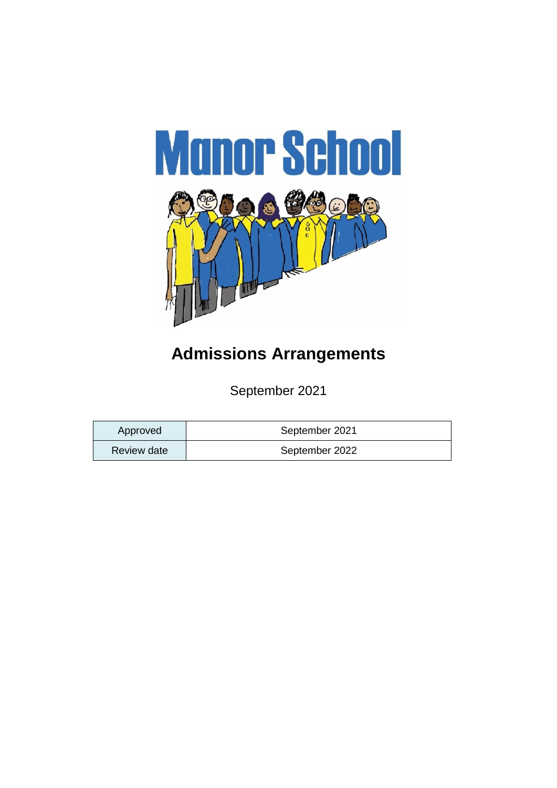

# **Admissions Arrangements**

September 2021

| Approved    | September 2021 |
|-------------|----------------|
| Review date | September 2022 |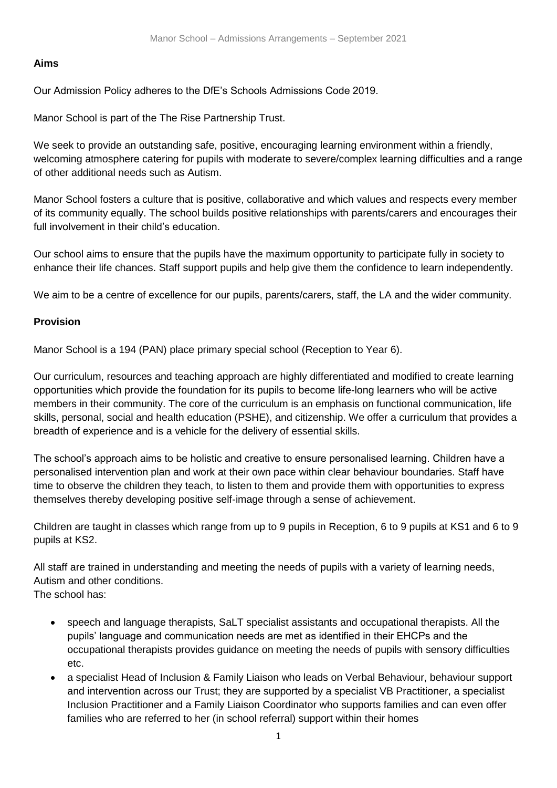# **Aims**

Our Admission Policy adheres to the DfE's Schools Admissions Code 2019.

Manor School is part of the The Rise Partnership Trust.

We seek to provide an outstanding safe, positive, encouraging learning environment within a friendly, welcoming atmosphere catering for pupils with moderate to severe/complex learning difficulties and a range of other additional needs such as Autism.

Manor School fosters a culture that is positive, collaborative and which values and respects every member of its community equally. The school builds positive relationships with parents/carers and encourages their full involvement in their child's education.

Our school aims to ensure that the pupils have the maximum opportunity to participate fully in society to enhance their life chances. Staff support pupils and help give them the confidence to learn independently.

We aim to be a centre of excellence for our pupils, parents/carers, staff, the LA and the wider community.

# **Provision**

Manor School is a 194 (PAN) place primary special school (Reception to Year 6).

Our curriculum, resources and teaching approach are highly differentiated and modified to create learning opportunities which provide the foundation for its pupils to become life-long learners who will be active members in their community. The core of the curriculum is an emphasis on functional communication, life skills, personal, social and health education (PSHE), and citizenship. We offer a curriculum that provides a breadth of experience and is a vehicle for the delivery of essential skills.

The school's approach aims to be holistic and creative to ensure personalised learning. Children have a personalised intervention plan and work at their own pace within clear behaviour boundaries. Staff have time to observe the children they teach, to listen to them and provide them with opportunities to express themselves thereby developing positive self-image through a sense of achievement.

Children are taught in classes which range from up to 9 pupils in Reception, 6 to 9 pupils at KS1 and 6 to 9 pupils at KS2.

All staff are trained in understanding and meeting the needs of pupils with a variety of learning needs, Autism and other conditions. The school has:

- speech and language therapists, SaLT specialist assistants and occupational therapists. All the pupils' language and communication needs are met as identified in their EHCPs and the occupational therapists provides guidance on meeting the needs of pupils with sensory difficulties etc.
- a specialist Head of Inclusion & Family Liaison who leads on Verbal Behaviour, behaviour support and intervention across our Trust; they are supported by a specialist VB Practitioner, a specialist Inclusion Practitioner and a Family Liaison Coordinator who supports families and can even offer families who are referred to her (in school referral) support within their homes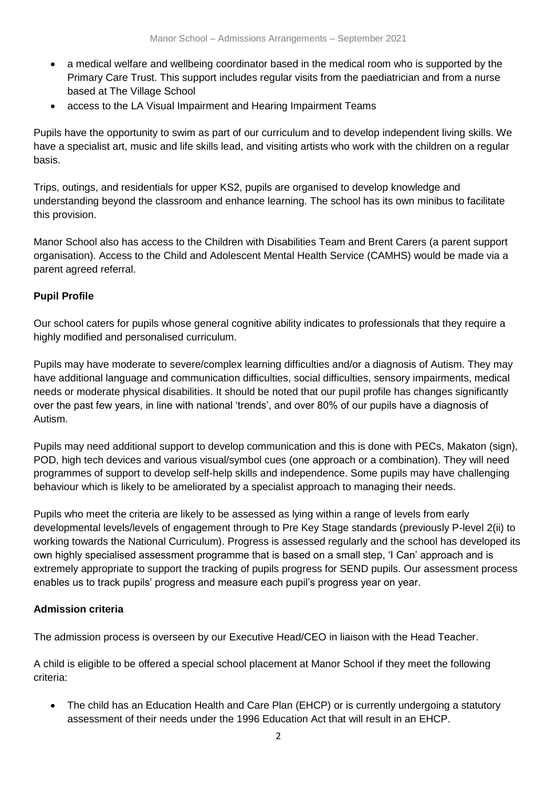- a medical welfare and wellbeing coordinator based in the medical room who is supported by the Primary Care Trust. This support includes regular visits from the paediatrician and from a nurse based at The Village School
- access to the LA Visual Impairment and Hearing Impairment Teams

Pupils have the opportunity to swim as part of our curriculum and to develop independent living skills. We have a specialist art, music and life skills lead, and visiting artists who work with the children on a regular basis.

Trips, outings, and residentials for upper KS2, pupils are organised to develop knowledge and understanding beyond the classroom and enhance learning. The school has its own minibus to facilitate this provision.

Manor School also has access to the Children with Disabilities Team and Brent Carers (a parent support organisation). Access to the Child and Adolescent Mental Health Service (CAMHS) would be made via a parent agreed referral.

# **Pupil Profile**

Our school caters for pupils whose general cognitive ability indicates to professionals that they require a highly modified and personalised curriculum.

Pupils may have moderate to severe/complex learning difficulties and/or a diagnosis of Autism. They may have additional language and communication difficulties, social difficulties, sensory impairments, medical needs or moderate physical disabilities. It should be noted that our pupil profile has changes significantly over the past few years, in line with national 'trends', and over 80% of our pupils have a diagnosis of Autism.

Pupils may need additional support to develop communication and this is done with PECs, Makaton (sign), POD, high tech devices and various visual/symbol cues (one approach or a combination). They will need programmes of support to develop self-help skills and independence. Some pupils may have challenging behaviour which is likely to be ameliorated by a specialist approach to managing their needs.

Pupils who meet the criteria are likely to be assessed as lying within a range of levels from early developmental levels/levels of engagement through to Pre Key Stage standards (previously P-level 2(ii) to working towards the National Curriculum). Progress is assessed regularly and the school has developed its own highly specialised assessment programme that is based on a small step, 'I Can' approach and is extremely appropriate to support the tracking of pupils progress for SEND pupils. Our assessment process enables us to track pupils' progress and measure each pupil's progress year on year.

#### **Admission criteria**

The admission process is overseen by our Executive Head/CEO in liaison with the Head Teacher.

A child is eligible to be offered a special school placement at Manor School if they meet the following criteria:

 The child has an Education Health and Care Plan (EHCP) or is currently undergoing a statutory assessment of their needs under the 1996 Education Act that will result in an EHCP.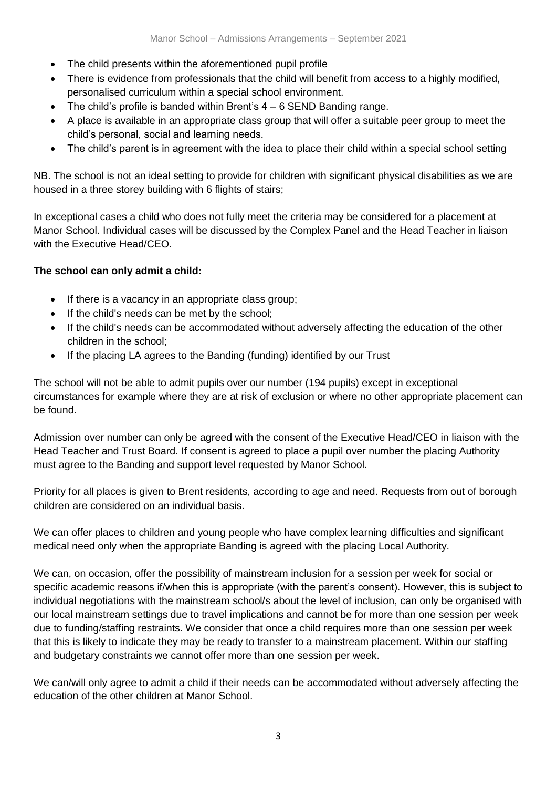- The child presents within the aforementioned pupil profile
- There is evidence from professionals that the child will benefit from access to a highly modified, personalised curriculum within a special school environment.
- $\bullet$  The child's profile is banded within Brent's  $4 6$  SEND Banding range.
- A place is available in an appropriate class group that will offer a suitable peer group to meet the child's personal, social and learning needs.
- The child's parent is in agreement with the idea to place their child within a special school setting

NB. The school is not an ideal setting to provide for children with significant physical disabilities as we are housed in a three storey building with 6 flights of stairs;

In exceptional cases a child who does not fully meet the criteria may be considered for a placement at Manor School. Individual cases will be discussed by the Complex Panel and the Head Teacher in liaison with the Executive Head/CEO.

# **The school can only admit a child:**

- $\bullet$  If there is a vacancy in an appropriate class group;
- If the child's needs can be met by the school;
- If the child's needs can be accommodated without adversely affecting the education of the other children in the school;
- If the placing LA agrees to the Banding (funding) identified by our Trust

The school will not be able to admit pupils over our number (194 pupils) except in exceptional circumstances for example where they are at risk of exclusion or where no other appropriate placement can be found.

Admission over number can only be agreed with the consent of the Executive Head/CEO in liaison with the Head Teacher and Trust Board. If consent is agreed to place a pupil over number the placing Authority must agree to the Banding and support level requested by Manor School.

Priority for all places is given to Brent residents, according to age and need. Requests from out of borough children are considered on an individual basis.

We can offer places to children and young people who have complex learning difficulties and significant medical need only when the appropriate Banding is agreed with the placing Local Authority.

We can, on occasion, offer the possibility of mainstream inclusion for a session per week for social or specific academic reasons if/when this is appropriate (with the parent's consent). However, this is subject to individual negotiations with the mainstream school/s about the level of inclusion, can only be organised with our local mainstream settings due to travel implications and cannot be for more than one session per week due to funding/staffing restraints. We consider that once a child requires more than one session per week that this is likely to indicate they may be ready to transfer to a mainstream placement. Within our staffing and budgetary constraints we cannot offer more than one session per week.

We can/will only agree to admit a child if their needs can be accommodated without adversely affecting the education of the other children at Manor School.